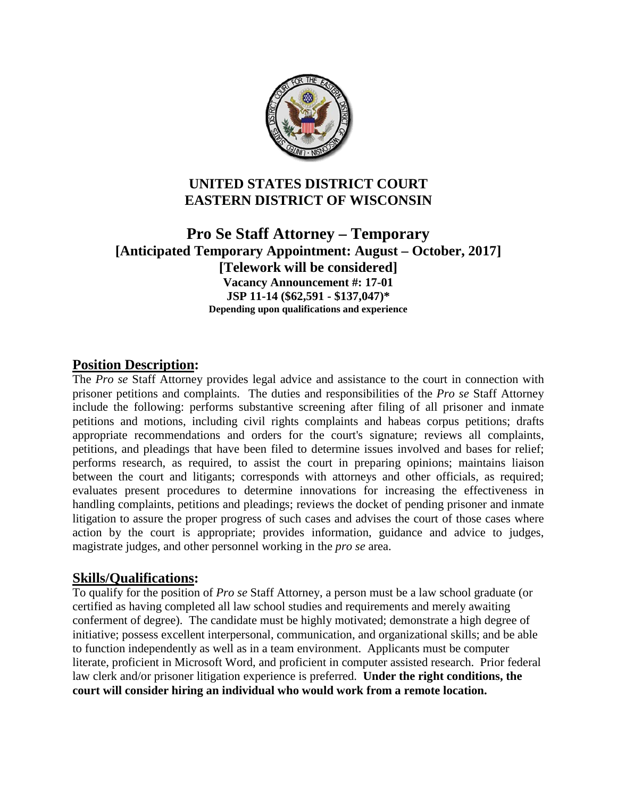

# **UNITED STATES DISTRICT COURT EASTERN DISTRICT OF WISCONSIN**

**Pro Se Staff Attorney – Temporary [Anticipated Temporary Appointment: August – October, 2017] [Telework will be considered] Vacancy Announcement #: 17-01 JSP 11-14 (\$62,591 - \$137,047)\* Depending upon qualifications and experience**

### **Position Description:**

The *Pro se* Staff Attorney provides legal advice and assistance to the court in connection with prisoner petitions and complaints. The duties and responsibilities of the *Pro se* Staff Attorney include the following: performs substantive screening after filing of all prisoner and inmate petitions and motions, including civil rights complaints and habeas corpus petitions; drafts appropriate recommendations and orders for the court's signature; reviews all complaints, petitions, and pleadings that have been filed to determine issues involved and bases for relief; performs research, as required, to assist the court in preparing opinions; maintains liaison between the court and litigants; corresponds with attorneys and other officials, as required; evaluates present procedures to determine innovations for increasing the effectiveness in handling complaints, petitions and pleadings; reviews the docket of pending prisoner and inmate litigation to assure the proper progress of such cases and advises the court of those cases where action by the court is appropriate; provides information, guidance and advice to judges, magistrate judges, and other personnel working in the *pro se* area.

### **Skills/Qualifications:**

To qualify for the position of *Pro se* Staff Attorney, a person must be a law school graduate (or certified as having completed all law school studies and requirements and merely awaiting conferment of degree). The candidate must be highly motivated; demonstrate a high degree of initiative; possess excellent interpersonal, communication, and organizational skills; and be able to function independently as well as in a team environment. Applicants must be computer literate, proficient in Microsoft Word, and proficient in computer assisted research. Prior federal law clerk and/or prisoner litigation experience is preferred. **Under the right conditions, the court will consider hiring an individual who would work from a remote location.**